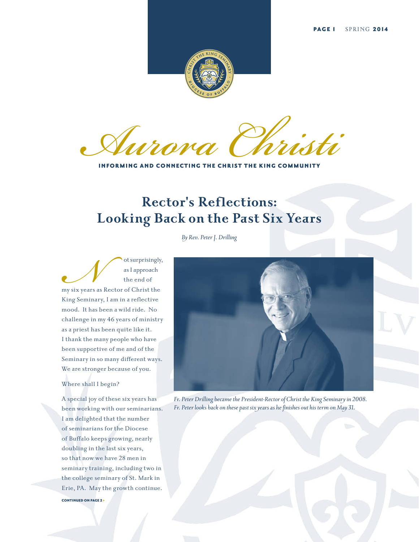

**Aurora Christian** 

INFORMING AND CONNECTING THE CHRIST THE KING COMMUNITY

### **Rector's Reflections: Looking Back on the Past Six Years**

*By Rev. Peter J. Drilling*

ot surprisingly,<br>as I approach<br>the end of<br>y six years as Rector of Christ the<br>ing Seminary, I am in a reflective as I approach the end of my six years as Rector of Christ the King Seminary, I am in a reflective mood. It has been a wild ride. No challenge in my 46 years of ministry as a priest has been quite like it. I thank the many people who have been supportive of me and of the Seminary in so many different ways. We are stronger because of you.

#### Where shall I begin?

A special joy of these six years has been working with our seminarians. I am delighted that the number of seminarians for the Diocese of Buffalo keeps growing, nearly doubling in the last six years, so that now we have 28 men in seminary training, including two in the college seminary of St. Mark in Erie, PA. May the growth continue. CONTINUED ON PAGE 2 >



*Fr. Peter Drilling became the President-Rector of Christ the King Seminary in 2008. Fr. Peter looks back on these past six years as he finishes out his term on May 31.*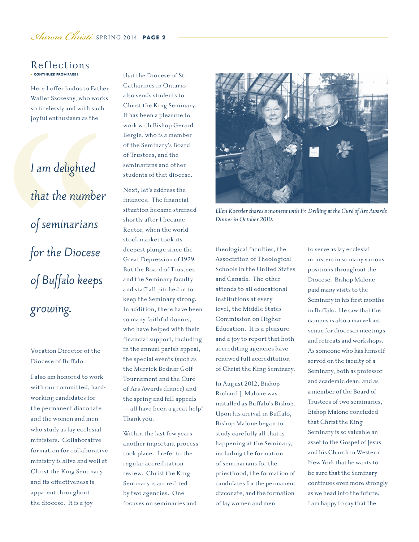### *Aurora Christi* SPRING 2014 PAGE 2

#### < CONTINUED FROM PAGE 1 Reflections

Here I offer kudos to Father Walter Szczesny, who works so tirelessly and with such joyful enthusiasm as the

*I am delighted that the number of seminarians for the Diocese of Buffalo keeps growing.*

#### Vocation Director of the Diocese of Buffalo.

I also am honored to work with our committed, hardworking candidates for the permanent diaconate and the women and men who study as lay ecclesial ministers. Collaborative formation for collaborative ministry is alive and well at Christ the King Seminary and its effectiveness is apparent throughout the diocese. It is a joy

that the Diocese of St. Catharines in Ontario also sends students to Christ the King Seminary. It has been a pleasure to work with Bishop Gerard Bergie, who is a member of the Seminary's Board of Trustees, and the seminarians and other students of that diocese.

Next, let's address the finances. The financial situation became strained shortly after I became Rector, when the world stock market took its deepest plunge since the Great Depression of 1929. But the Board of Trustees and the Seminary faculty and staff all pitched in to keep the Seminary strong. In addition, there have been so many faithful donors, who have helped with their financial support, including in the annual parish appeal, the special events (such as the Merrick Bednar Golf Tournament and the Curé of Ars Awards dinner) and the spring and fall appeals — all have been a great help! Thank you.

Within the last few years another important process took place. I refer to the regular accreditation review. Christ the King Seminary is accredited by two agencies. One focuses on seminaries and



*Ellen Koessler shares a moment with Fr. Drilling at the Curé of Ars Awards Dinner in October 2010.*

theological faculties, the Association of Theological Schools in the United States and Canada. The other attends to all educational institutions at every level, the Middle States Commission on Higher Education. It is a pleasure and a joy to report that both accrediting agencies have renewed full accreditation of Christ the King Seminary.

In August 2012, Bishop Richard J. Malone was installed as Buffalo's Bishop. Upon his arrival in Buffalo, Bishop Malone began to study carefully all that is happening at the Seminary, including the formation of seminarians for the priesthood, the formation of candidates for the permanent diaconate, and the formation of lay women and men

to serve as lay ecclesial ministers in so many various positions throughout the Diocese. Bishop Malone paid many visits to the Seminary in his first months in Buffalo. He saw that the campus is also a marvelous venue for diocesan meetings and retreats and workshops. As someone who has himself served on the faculty of a Seminary, both as professor and academic dean, and as a member of the Board of Trustees of two seminaries, Bishop Malone concluded that Christ the King Seminary is so valuable an asset to the Gospel of Jesus and his Church in Western New York that he wants to be sure that the Seminary continues even more strongly as we head into the future. I am happy to say that the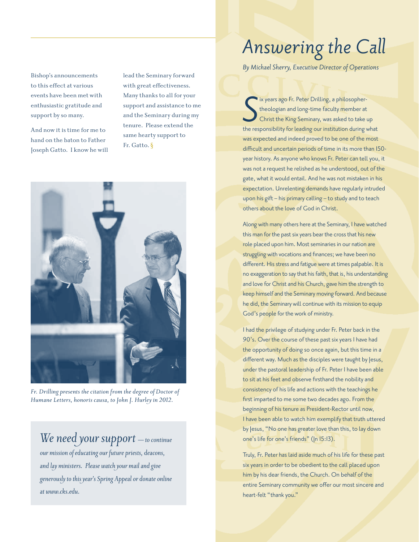Bishop's announcements to this effect at various events have been met with enthusiastic gratitude and support by so many.

And now it is time for me to hand on the baton to Father Joseph Gatto. I know he will lead the Seminary forward with great effectiveness. Many thanks to all for your support and assistance to me and the Seminary during my tenure. Please extend the same hearty support to Fr. Gatto. §



*Fr. Drilling presents the citation from the degree of Doctor of Humane Letters, honoris causa, to John J. Hurley in 2012.*

### *We need your support — to continue*

*our mission of educating our future priests, deacons, and lay ministers. Please watch your mail and give generously to this year's Spring Appeal or donate online at www.cks.edu.*

# PAGE 3 SPRING <sup>2014</sup>*Aurora Christi Answering the Call*

*By Michael Sherry, Executive Director of Operations*

**S** ix years ago Fr. Peter Drilling, a philosopher-<br>theologian and long-time faculty member at<br>Christ the King Seminary, was asked to take up<br>the responsibility for leading our institution during what ix years ago Fr. Peter Drilling, a philosophertheologian and long-time faculty member at Christ the King Seminary, was asked to take up was expected and indeed proved to be one of the most difficult and uncertain periods of time in its more than 150 year history. As anyone who knows Fr. Peter can tell you, it was not a request he relished as he understood, out of the gate, what it would entail. And he was not mistaken in his expectation. Unrelenting demands have regularly intruded upon his gift – his primary calling – to study and to teach others about the love of God in Christ.

Along with many others here at the Seminary, I have watched this man for the past six years bear the cross that his new role placed upon him. Most seminaries in our nation are struggling with vocations and finances; we have been no different. His stress and fatigue were at times palpable. It is no exaggeration to say that his faith, that is, his understanding and love for Christ and his Church, gave him the strength to keep himself and the Seminary moving forward. And because he did, the Seminary will continue with its mission to equip God's people for the work of ministry.

I had the privilege of studying under Fr. Peter back in the 90's. Over the course of these past six years I have had the opportunity of doing so once again, but this time in a different way. Much as the disciples were taught by Jesus, under the pastoral leadership of Fr. Peter I have been able to sit at his feet and observe firsthand the nobility and consistency of his life and actions with the teachings he first imparted to me some two decades ago. From the beginning of his tenure as President-Rector until now, I have been able to watch him exemplify that truth uttered by Jesus, "No one has greater love than this, to lay down one's life for one's friends" (Jn 15:13).

Truly, Fr. Peter has laid aside much of his life for these past six years in order to be obedient to the call placed upon him by his dear friends, the Church. On behalf of the entire Seminary community we offer our most sincere and heart-felt "thank you."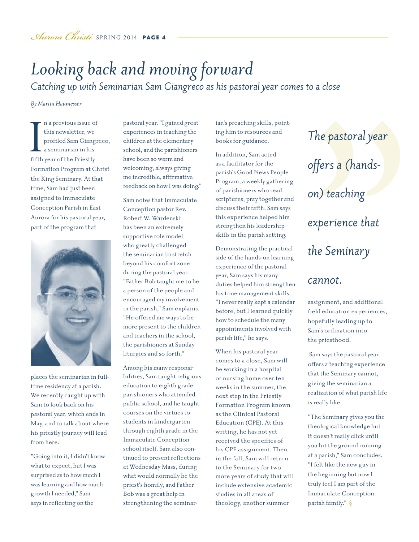## *Looking back and moving forward*

*Catching up with Seminarian Sam Giangreco as his pastoral year comes to a close* 

*By Martin Haumesser*

I fifth n a previous issue of this newsletter, we profiled Sam Giangreco, a seminarian in his fifth year of the Priestly Formation Program at Christ the King Seminary. At that time, Sam had just been assigned to Immaculate Conception Parish in East Aurora for his pastoral year, part of the program that



places the seminarian in fulltime residency at a parish. We recently caught up with Sam to look back on his pastoral year, which ends in May, and to talk about where his priestly journey will lead from here.

"Going into it, I didn't know what to expect, but I was surprised as to how much I was learning and how much growth I needed," Sam says in reflecting on the

pastoral year. "I gained great experiences in teaching the children at the elementary school, and the parishioners have been so warm and welcoming, always giving me incredible, affirmative feedback on how I was doing."

Sam notes that Immaculate Conception pastor Rev. Robert W. Wardenski has been an extremely supportive role model who greatly challenged the seminarian to stretch beyond his comfort zone during the pastoral year. "Father Bob taught me to be a person of the people and encouraged my involvement in the parish," Sam explains. "He offered me ways to be more present to the children and teachers in the school, the parishioners at Sunday liturgies and so forth."

Among his many responsibilities, Sam taught religious education to eighth grade parishioners who attended public school, and he taught courses on the virtues to students in kindergarten through eighth grade in the Immaculate Conception school itself. Sam also continued to present reflections at Wednesday Mass, during what would normally be the priest's homily, and Father Bob was a great help in strengthening the seminarian's preaching skills, pointing him to resources and books for guidance.

In addition, Sam acted as a facilitator for the parish's Good News People Program, a weekly gathering of parishioners who read scriptures, pray together and discuss their faith. Sam says this experience helped him strengthen his leadership skills in the parish setting.

Demonstrating the practical side of the hands-on learning experience of the pastoral year, Sam says his many duties helped him strengthen his time management skills. "I never really kept a calendar before, but I learned quickly how to schedule the many appointments involved with parish life," he says.

When his pastoral year comes to a close, Sam will be working in a hospital or nursing home over ten weeks in the summer, the next step in the Priestly Formation Program known as the Clinical Pastoral Education (CPE). At this writing, he has not yet received the specifics of his CPE assignment. Then in the fall, Sam will return to the Seminary for two more years of study that will include extensive academic studies in all areas of theology, another summer

*The pastoral year offers a (handson) teaching experience that the Seminary* 

#### *cannot.*

assignment, and additional field education experiences, hopefully leading up to Sam's ordination into the priesthood.

 Sam says the pastoral year offers a teaching experience that the Seminary cannot, giving the seminarian a realization of what parish life is really like.

"The Seminary gives you the theological knowledge but it doesn't really click until you hit the ground running at a parish," Sam concludes. "I felt like the new guy in the beginning but now I truly feel I am part of the Immaculate Conception parish family." §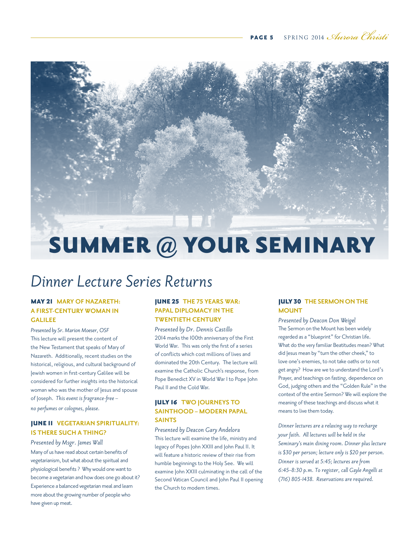

## *Dinner Lecture Series Returns*

#### MAY 21 **MARY OF NAZARETH: A FIRST-CENTURY WOMAN IN GALILEE**

*Presented by Sr. Marion Moeser, OSF* This lecture will present the content of the New Testament that speaks of Mary of Nazareth. Additionally, recent studies on the historical, religious, and cultural background of Jewish women in first-century Galilee will be considered for further insights into the historical woman who was the mother of Jesus and spouse of Joseph. *This event is fragrance-free – no perfumes or colognes, please.*

#### JUNE 11 **VEGETARIAN SPIRITUALITY: IS THERE SUCH A THING?**

*Presented by Msgr. James Wall* Many of us have read about certain benefits of vegetarianism, but what about the spiritual and physiological benefits ? Why would one want to become a vegetarian and how does one go about it? Experience a balanced vegetarian meal and learn more about the growing number of people who have given up meat.

#### JUNE 25 **THE 75 YEARS WAR: PAPAL DIPLOMACY IN THE TWENTIETH CENTURY**

*Presented by Dr. Dennis Castillo* 2014 marks the 100th anniversary of the First World War. This was only the first of a series of conflicts which cost millions of lives and dominated the 20th Century. The lecture will examine the Catholic Church's response, from Pope Benedict XV in World War I to Pope John Paul II and the Cold War.

#### JULY 16 **TWO JOURNEYS TO SAINTHOOD – MODERN PAPAL SAINTS**

*Presented by Deacon Gary Andelora* This lecture will examine the life, ministry and legacy of Popes John XXIII and John Paul II. It will feature a historic review of their rise from humble beginnings to the Holy See. We will examine John XXIII culminating in the call of the Second Vatican Council and John Paul II opening the Church to modern times.

#### JULY 30 **THE SERMON ON THE MOUNT**

*Presented by Deacon Don Weigel* The Sermon on the Mount has been widely regarded as a "blueprint" for Christian life. What do the very familiar Beatitudes mean? What did Jesus mean by "turn the other cheek," to love one's enemies, to not take oaths or to not get angry? How are we to understand the Lord's Prayer, and teachings on fasting, dependence on God, judging others and the "Golden Rule" in the context of the entire Sermon? We will explore the meaning of these teachings and discuss what it means to live them today.

*Dinner lectures are a relaxing way to recharge your faith. All lectures will be held in the Seminary's main dining room. Dinner plus lecture is \$30 per person; lecture only is \$20 per person. Dinner is served at 5:45; lectures are from 6:45–8:30 p.m. To register, call Gayle Angelli at (716) 805-1438. Reservations are required.*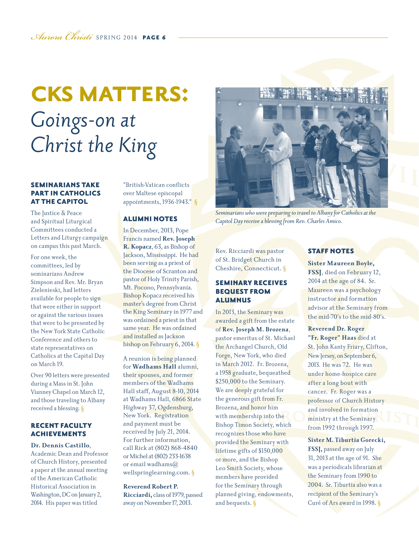## **CKS MATTERS:** *Goings-on at Christ the King*

#### SEMINARIANS TAKE PART IN CATHOLICS AT THE CAPITOL

The Justice & Peace and Spiritual Liturgical Committees conducted a Letters and Liturgy campaign on campus this past March.

For one week, the committees, led by seminarians Andrew Simpson and Rev. Mr. Bryan Zielenieski, had letters available for people to sign that were either in support or against the various issues that were to be presented by the New York State Catholic Conference and others to state representatives on Catholics at the Capital Day on March 19.

Over 90 letters were presented during a Mass in St. John Vianney Chapel on March 12, and those traveling to Albany received a blessing. §

#### RECENT FACULTY ACHIEVEMENTS

#### **Dr. Dennis Castillo**,

Academic Dean and Professor of Church History, presented a paper at the annual meeting of the American Catholic Historical Association in Washington, DC on January 2, 2014. His paper was titled

"British-Vatican conflicts over Maltese episcopal appointments, 1936-1943." §

#### ALUMNI NOTES

In December, 2013, Pope Francis named **Rev. Joseph R. Kopacz**, 63, as Bishop of Jackson, Mississippi. He had been serving as a priest of the Diocese of Scranton and pastor of Holy Trinity Parish, Mt. Pocono, Pennsylvania. Bishop Kopacz received his master's degree from Christ the King Seminary in 1977 and was ordained a priest in that same year. He was ordained and installed as Jackson bishop on February 6, 2014. §

A reunion is being planned for **Wadhams Hall** alumni, their spouses, and former members of the Wadhams Hall staff, August 8-10, 2014 at Wadhams Hall, 6866 State Highway 37, Ogdensburg, New York. Registration and payment must be received by July 21, 2014. For further information, call Rick at (802) 868-4840 or Michel at (802) 233-1638 or email wadhams@ wellspringlearning.com. §

#### **Reverend Robert P.**

**Ricciardi,** class of 1979, passed away on November 17, 2013.



*Seminarians who were preparing to travel to Albany for Catholics at the Capitol Day receive a blessing from Rev. Charles Amico.* 

Rev. Ricciardi was pastor of St. Bridget Church in Cheshire, Connecticut. §

#### SEMINARY RECEIVES BEQUEST FROM ALUMNUS

In 2013, the Seminary was awarded a gift from the estate of **Rev. Joseph M. Brozena**, pastor emeritus of St. Michael the Archangel Church, Old Forge, New York, who died in March 2012. Fr. Brozena, a 1958 graduate, bequeathed \$250,000 to the Seminary. We are deeply grateful for the generous gift from Fr. Brozena, and honor him with membership into the Bishop Timon Society, which recognizes those who have provided the Seminary with lifetime gifts of \$150,000 or more, and the Bishop Leo Smith Society, whose members have provided for the Seminary through planned giving, endowments, and bequests. §

#### STAFF NOTES

**Sister Maureen Boyle, FSSJ**, died on February 12, 2014 at the age of 84. Sr. Maureen was a psychology instructor and formation advisor at the Seminary from the mid-70's to the mid-80's.

#### **Reverend Dr. Roger**

**"Fr. Roger" Haas** died at St. John Kanty Friary, Clifton, New Jersey, on September 6, 2013. He was 72. He was under home-hospice care after a long bout with cancer. Fr. Roger was a professor of Church History and involved in formation ministry at the Seminary from 1992 through 1997.

**Sister M. Tiburtia Gorecki, FSSJ,** passed away on July 31, 2013 at the age of 91. She was a periodicals librarian at the Seminary from 1990 to 2004. Sr. Tiburtia also was a recipient of the Seminary's Curé of Ars award in 1998. §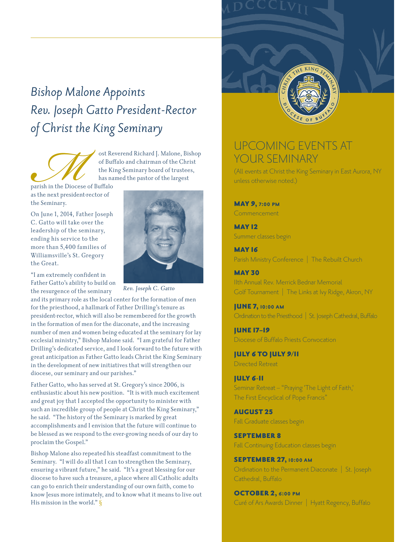## *Bishop Malone Appoints Rev. Joseph Gatto President-Rector of Christ the King Seminary*

ost Reverend Richard J. Malone, Bishop<br>of Buffalo and chairman of the Christ<br>the King Seminary board of trustees,<br>has named the pastor of the largest<br>starish in the Diocese of Buffalo<br>sthe next president-rector of<br>he Semin of Buffalo and chairman of the Christ the King Seminary board of trustees, has named the pastor of the largest

parish in the Diocese of Buffalo as the next president-rector of the Seminary.

On June 1, 2014, Father Joseph C. Gatto will take over the leadership of the seminary, ending his service to the more than 5,400 families of Williamsville's St. Gregory the Great.

"I am extremely confident in Father Gatto's ability to build on the resurgence of the seminary



*Rev. Joseph C. Gatto*

and its primary role as the local center for the formation of men for the priesthood, a hallmark of Father Drilling's tenure as president-rector, which will also be remembered for the growth in the formation of men for the diaconate, and the increasing number of men and women being educated at the seminary for lay ecclesial ministry," Bishop Malone said. "I am grateful for Father Drilling's dedicated service, and I look forward to the future with great anticipation as Father Gatto leads Christ the King Seminary in the development of new initiatives that will strengthen our diocese, our seminary and our parishes."

Father Gatto, who has served at St. Gregory's since 2006, is enthusiastic about his new position. "It is with much excitement and great joy that I accepted the opportunity to minister with such an incredible group of people at Christ the King Seminary," he said. "The history of the Seminary is marked by great accomplishments and I envision that the future will continue to be blessed as we respond to the ever-growing needs of our day to proclaim the Gospel."

Bishop Malone also repeated his steadfast commitment to the Seminary. "I will do all that I can to strengthen the Seminary, ensuring a vibrant future," he said. "It's a great blessing for our diocese to have such a treasure, a place where all Catholic adults can go to enrich their understanding of our own faith, come to know Jesus more intimately, and to know what it means to live out His mission in the world." §



### UPCOMING EVENTS AT YOUR SEMINARY

(All events at Christ the King Seminary in East Aurora, NY unless otherwise noted.)

#### MAY 9, **7:00 pm**

**Commencement** 

**MAY 12** Summer classes begin

MAY 16 Parish Ministry Conference | The Rebuilt Church

**MAY 30** 11th Annual Rev. Merrick Bednar Memorial Golf Tournament | The Links at Ivy Ridge, Akron, NY

JUNE 7, **10:00 am** Ordination to the Priesthood | St. Joseph Cathedral, Buffalo

JUNE 17–19 Diocese of Buffalo Priests Convocation

JULY 6 TO JULY 9/11 Directed Retreat

#### JULY 6-11

Seminar Retreat – "Praying 'The Light of Faith,' The First Encyclical of Pope Francis"

AUGUST 25 Fall Graduate classes begin

SEPTEMBER 8 Fall Continuing Education classes begin

SEPTEMBER 27, **10:00 am** Ordination to the Permanent Diaconate | St. Joseph Cathedral, Buffalo

OCTOBER 2, **6:00 pm** Curé of Ars Awards Dinner | Hyatt Regency, Buffalo